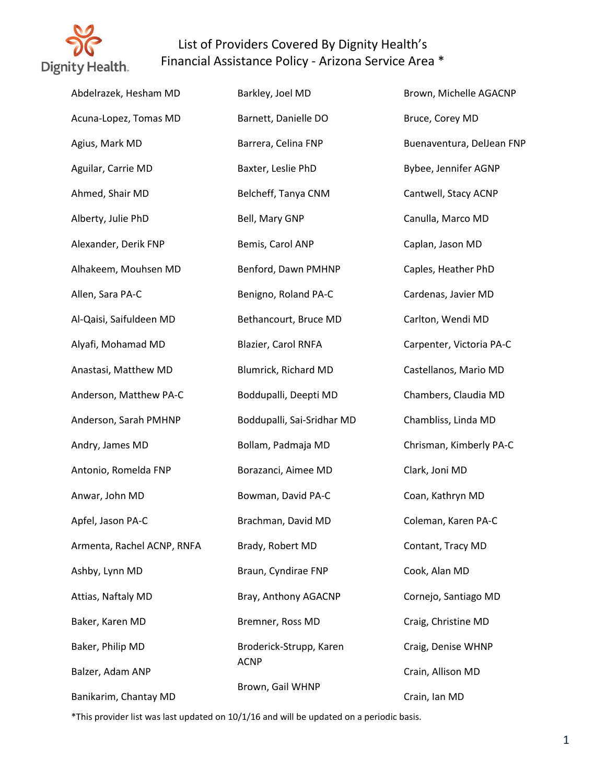

| Abdelrazek, Hesham MD      | Barkley, Joel MD           | Brown, Michelle AGACNP    |
|----------------------------|----------------------------|---------------------------|
| Acuna-Lopez, Tomas MD      | Barnett, Danielle DO       | Bruce, Corey MD           |
| Agius, Mark MD             | Barrera, Celina FNP        | Buenaventura, DelJean FNP |
| Aguilar, Carrie MD         | Baxter, Leslie PhD         | Bybee, Jennifer AGNP      |
| Ahmed, Shair MD            | Belcheff, Tanya CNM        | Cantwell, Stacy ACNP      |
| Alberty, Julie PhD         | Bell, Mary GNP             | Canulla, Marco MD         |
| Alexander, Derik FNP       | Bemis, Carol ANP           | Caplan, Jason MD          |
| Alhakeem, Mouhsen MD       | Benford, Dawn PMHNP        | Caples, Heather PhD       |
| Allen, Sara PA-C           | Benigno, Roland PA-C       | Cardenas, Javier MD       |
| Al-Qaisi, Saifuldeen MD    | Bethancourt, Bruce MD      | Carlton, Wendi MD         |
| Alyafi, Mohamad MD         | Blazier, Carol RNFA        | Carpenter, Victoria PA-C  |
| Anastasi, Matthew MD       | Blumrick, Richard MD       | Castellanos, Mario MD     |
| Anderson, Matthew PA-C     | Boddupalli, Deepti MD      | Chambers, Claudia MD      |
| Anderson, Sarah PMHNP      | Boddupalli, Sai-Sridhar MD | Chambliss, Linda MD       |
| Andry, James MD            | Bollam, Padmaja MD         | Chrisman, Kimberly PA-C   |
| Antonio, Romelda FNP       | Borazanci, Aimee MD        | Clark, Joni MD            |
| Anwar, John MD             | Bowman, David PA-C         | Coan, Kathryn MD          |
| Apfel, Jason PA-C          | Brachman, David MD         | Coleman, Karen PA-C       |
| Armenta, Rachel ACNP, RNFA | Brady, Robert MD           | Contant, Tracy MD         |
| Ashby, Lynn MD             | Braun, Cyndirae FNP        | Cook, Alan MD             |
| Attias, Naftaly MD         | Bray, Anthony AGACNP       | Cornejo, Santiago MD      |
| Baker, Karen MD            | Bremner, Ross MD           | Craig, Christine MD       |
| Baker, Philip MD           | Broderick-Strupp, Karen    | Craig, Denise WHNP        |
| Balzer, Adam ANP           | <b>ACNP</b>                | Crain, Allison MD         |
| Banikarim, Chantay MD      | Brown, Gail WHNP           | Crain, Ian MD             |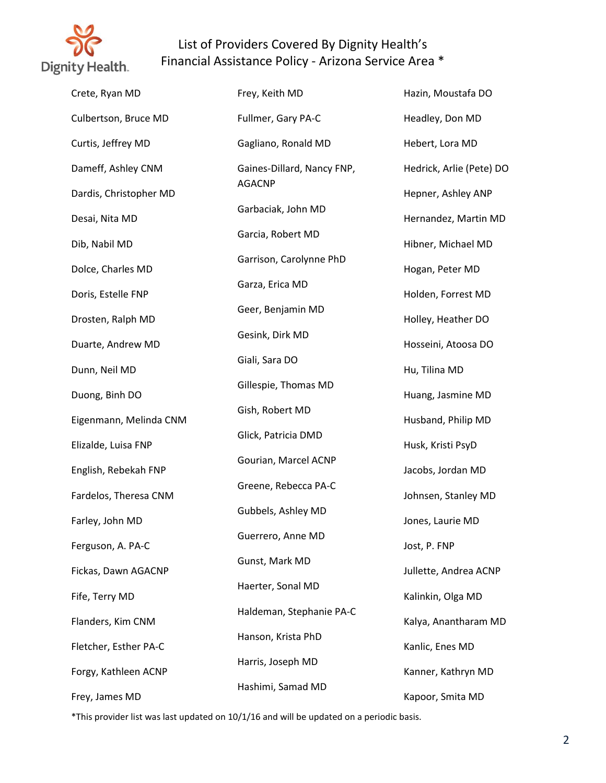

| Crete, Ryan MD         | Frey, Keith MD             | Hazin, Moustafa DO       |
|------------------------|----------------------------|--------------------------|
| Culbertson, Bruce MD   | Fullmer, Gary PA-C         | Headley, Don MD          |
| Curtis, Jeffrey MD     | Gagliano, Ronald MD        | Hebert, Lora MD          |
| Dameff, Ashley CNM     | Gaines-Dillard, Nancy FNP, | Hedrick, Arlie (Pete) DO |
| Dardis, Christopher MD | <b>AGACNP</b>              | Hepner, Ashley ANP       |
| Desai, Nita MD         | Garbaciak, John MD         | Hernandez, Martin MD     |
| Dib, Nabil MD          | Garcia, Robert MD          | Hibner, Michael MD       |
| Dolce, Charles MD      | Garrison, Carolynne PhD    | Hogan, Peter MD          |
| Doris, Estelle FNP     | Garza, Erica MD            | Holden, Forrest MD       |
| Drosten, Ralph MD      | Geer, Benjamin MD          | Holley, Heather DO       |
| Duarte, Andrew MD      | Gesink, Dirk MD            | Hosseini, Atoosa DO      |
| Dunn, Neil MD          | Giali, Sara DO             | Hu, Tilina MD            |
| Duong, Binh DO         | Gillespie, Thomas MD       | Huang, Jasmine MD        |
| Eigenmann, Melinda CNM | Gish, Robert MD            | Husband, Philip MD       |
| Elizalde, Luisa FNP    | Glick, Patricia DMD        | Husk, Kristi PsyD        |
| English, Rebekah FNP   | Gourian, Marcel ACNP       | Jacobs, Jordan MD        |
| Fardelos, Theresa CNM  | Greene, Rebecca PA-C       | Johnsen, Stanley MD      |
| Farley, John MD        | Gubbels, Ashley MD         | Jones, Laurie MD         |
| Ferguson, A. PA-C      | Guerrero, Anne MD          | Jost, P. FNP             |
| Fickas, Dawn AGACNP    | Gunst, Mark MD             | Jullette, Andrea ACNP    |
| Fife, Terry MD         | Haerter, Sonal MD          | Kalinkin, Olga MD        |
| Flanders, Kim CNM      | Haldeman, Stephanie PA-C   | Kalya, Anantharam MD     |
| Fletcher, Esther PA-C  | Hanson, Krista PhD         | Kanlic, Enes MD          |
| Forgy, Kathleen ACNP   | Harris, Joseph MD          | Kanner, Kathryn MD       |
| Frey, James MD         | Hashimi, Samad MD          | Kapoor, Smita MD         |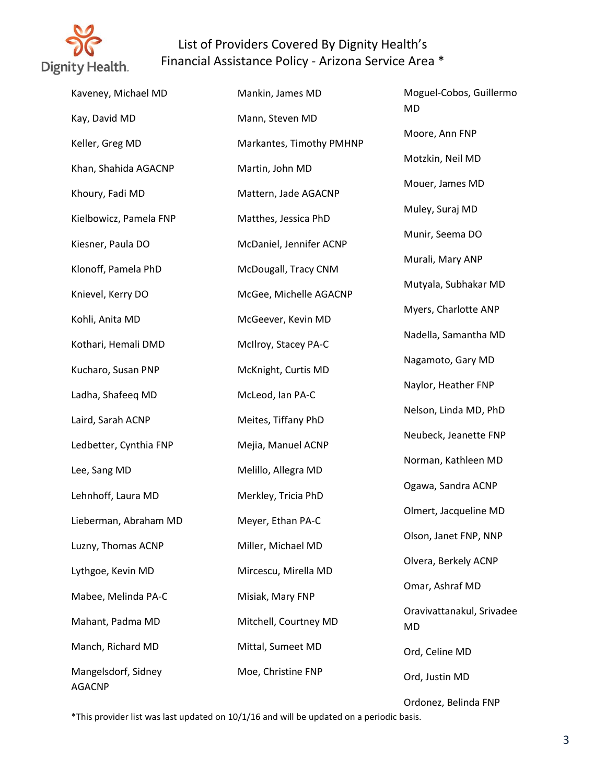

| Kaveney, Michael MD    | Mankin, James MD         | Moguel-Cobos, Guillermo                |
|------------------------|--------------------------|----------------------------------------|
| Kay, David MD          | Mann, Steven MD          | MD                                     |
| Keller, Greg MD        | Markantes, Timothy PMHNP | Moore, Ann FNP                         |
| Khan, Shahida AGACNP   | Martin, John MD          | Motzkin, Neil MD                       |
| Khoury, Fadi MD        | Mattern, Jade AGACNP     | Mouer, James MD                        |
| Kielbowicz, Pamela FNP | Matthes, Jessica PhD     | Muley, Suraj MD                        |
| Kiesner, Paula DO      | McDaniel, Jennifer ACNP  | Munir, Seema DO                        |
| Klonoff, Pamela PhD    | McDougall, Tracy CNM     | Murali, Mary ANP                       |
|                        |                          | Mutyala, Subhakar MD                   |
| Knievel, Kerry DO      | McGee, Michelle AGACNP   | Myers, Charlotte ANP                   |
| Kohli, Anita MD        | McGeever, Kevin MD       | Nadella, Samantha MD                   |
| Kothari, Hemali DMD    | McIlroy, Stacey PA-C     | Nagamoto, Gary MD                      |
| Kucharo, Susan PNP     | McKnight, Curtis MD      | Naylor, Heather FNP                    |
| Ladha, Shafeeq MD      | McLeod, Ian PA-C         |                                        |
| Laird, Sarah ACNP      | Meites, Tiffany PhD      | Nelson, Linda MD, PhD                  |
| Ledbetter, Cynthia FNP | Mejia, Manuel ACNP       | Neubeck, Jeanette FNP                  |
| Lee, Sang MD           | Melillo, Allegra MD      | Norman, Kathleen MD                    |
| Lehnhoff, Laura MD     | Merkley, Tricia PhD      | Ogawa, Sandra ACNP                     |
| Lieberman, Abraham MD  | Meyer, Ethan PA-C        | Olmert, Jacqueline MD                  |
| Luzny, Thomas ACNP     | Miller, Michael MD       | Olson, Janet FNP, NNP                  |
| Lythgoe, Kevin MD      | Mircescu, Mirella MD     | Olvera, Berkely ACNP                   |
| Mabee, Melinda PA-C    | Misiak, Mary FNP         | Omar, Ashraf MD                        |
| Mahant, Padma MD       | Mitchell, Courtney MD    | Oravivattanakul, Srivadee<br><b>MD</b> |
| Manch, Richard MD      | Mittal, Sumeet MD        | Ord, Celine MD                         |
| Mangelsdorf, Sidney    | Moe, Christine FNP       |                                        |
| <b>AGACNP</b>          |                          | Ord, Justin MD                         |

Ordonez, Belinda FNP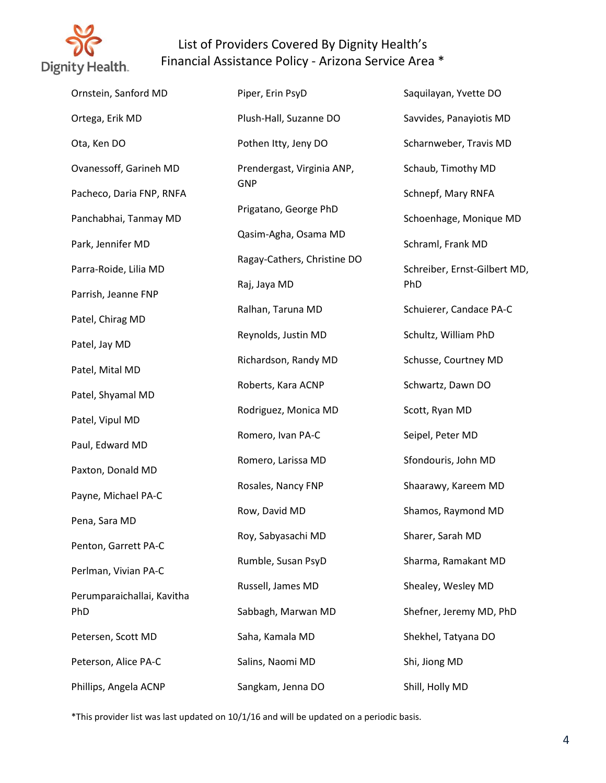

| Ornstein, Sanford MD       | Piper, Erin PsyD            | Saquilayan, Yvette DO        |
|----------------------------|-----------------------------|------------------------------|
| Ortega, Erik MD            | Plush-Hall, Suzanne DO      | Savvides, Panayiotis MD      |
| Ota, Ken DO                | Pothen Itty, Jeny DO        | Scharnweber, Travis MD       |
| Ovanessoff, Garineh MD     | Prendergast, Virginia ANP,  | Schaub, Timothy MD           |
| Pacheco, Daria FNP, RNFA   | <b>GNP</b>                  | Schnepf, Mary RNFA           |
| Panchabhai, Tanmay MD      | Prigatano, George PhD       | Schoenhage, Monique MD       |
| Park, Jennifer MD          | Qasim-Agha, Osama MD        | Schraml, Frank MD            |
| Parra-Roide, Lilia MD      | Ragay-Cathers, Christine DO | Schreiber, Ernst-Gilbert MD, |
| Parrish, Jeanne FNP        | Raj, Jaya MD                | PhD                          |
| Patel, Chirag MD           | Ralhan, Taruna MD           | Schuierer, Candace PA-C      |
| Patel, Jay MD              | Reynolds, Justin MD         | Schultz, William PhD         |
| Patel, Mital MD            | Richardson, Randy MD        | Schusse, Courtney MD         |
| Patel, Shyamal MD          | Roberts, Kara ACNP          | Schwartz, Dawn DO            |
| Patel, Vipul MD            | Rodriguez, Monica MD        | Scott, Ryan MD               |
| Paul, Edward MD            | Romero, Ivan PA-C           | Seipel, Peter MD             |
| Paxton, Donald MD          | Romero, Larissa MD          | Sfondouris, John MD          |
| Payne, Michael PA-C        | Rosales, Nancy FNP          | Shaarawy, Kareem MD          |
| Pena, Sara MD              | Row, David MD               | Shamos, Raymond MD           |
| Penton, Garrett PA-C       | Roy, Sabyasachi MD          | Sharer, Sarah MD             |
| Perlman, Vivian PA-C       | Rumble, Susan PsyD          | Sharma, Ramakant MD          |
| Perumparaichallai, Kavitha | Russell, James MD           | Shealey, Wesley MD           |
| PhD                        | Sabbagh, Marwan MD          | Shefner, Jeremy MD, PhD      |
| Petersen, Scott MD         | Saha, Kamala MD             | Shekhel, Tatyana DO          |
| Peterson, Alice PA-C       | Salins, Naomi MD            | Shi, Jiong MD                |
| Phillips, Angela ACNP      | Sangkam, Jenna DO           | Shill, Holly MD              |